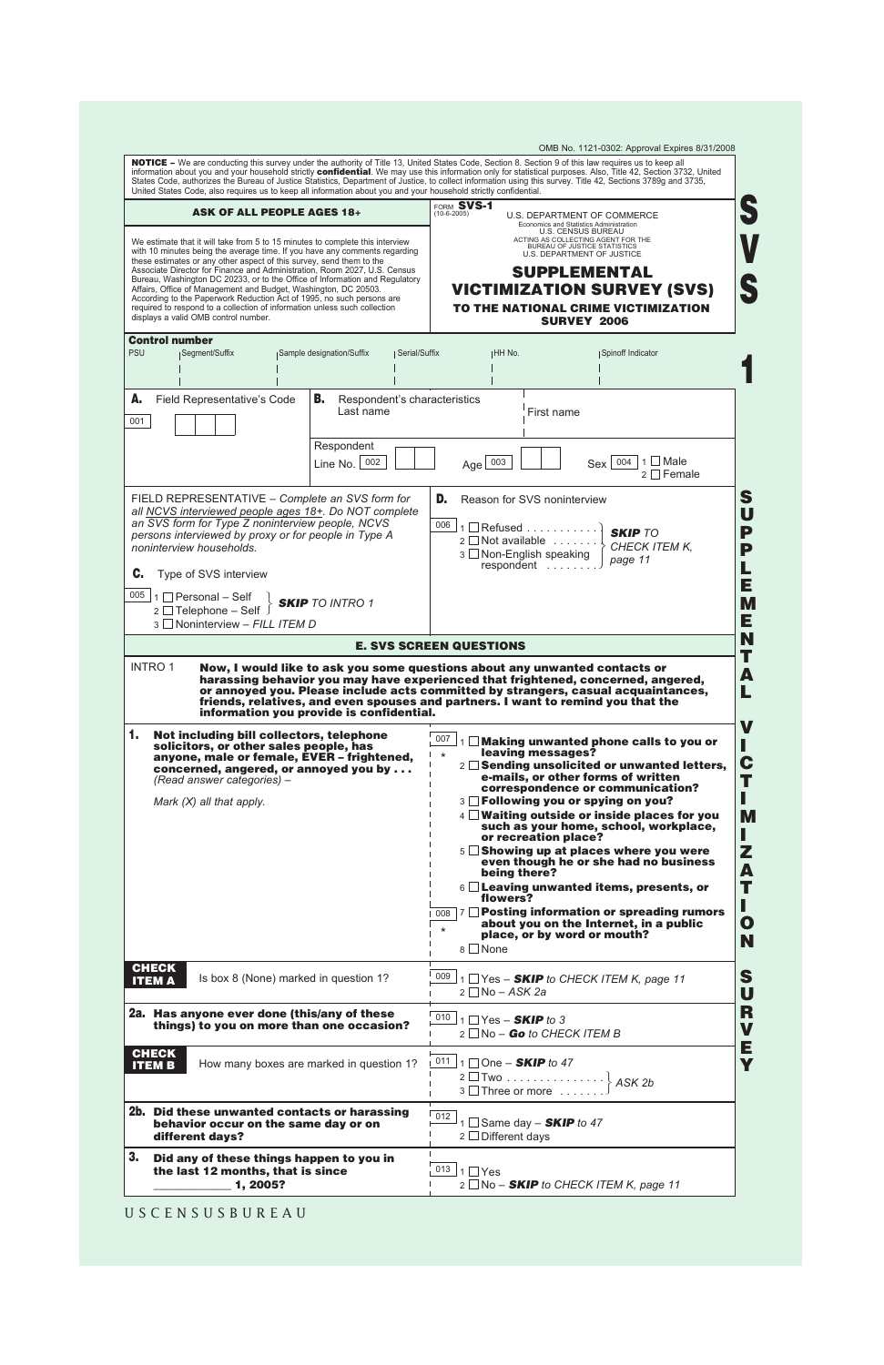|                                                                                                                                                                                                                                                                                                                                                                                                                                                                                                                                                                                                                                                                                                       |                                                                                  | OMB No. 1121-0302: Approval Expires 8/31/2008<br>NOTICE - We are conducting this survey under the authority of Title 13, United States Code, Section 8. Section 9 of this law requires us to keep all                                                                                                                                                                                                                                                                                                                                                                                                                                          |
|-------------------------------------------------------------------------------------------------------------------------------------------------------------------------------------------------------------------------------------------------------------------------------------------------------------------------------------------------------------------------------------------------------------------------------------------------------------------------------------------------------------------------------------------------------------------------------------------------------------------------------------------------------------------------------------------------------|----------------------------------------------------------------------------------|------------------------------------------------------------------------------------------------------------------------------------------------------------------------------------------------------------------------------------------------------------------------------------------------------------------------------------------------------------------------------------------------------------------------------------------------------------------------------------------------------------------------------------------------------------------------------------------------------------------------------------------------|
| United States Code, also requires us to keep all information about you and your household strictly confidential.                                                                                                                                                                                                                                                                                                                                                                                                                                                                                                                                                                                      |                                                                                  | information about you and your household strictly confidential. We may use this information only for statistical purposes. Also, Title 42, Section 3732, United<br>States Code, authorizes the Bureau of Justice Statistics, Department of Justice, to collect information using this survey. Title 42, Sections 3789g and 3735,                                                                                                                                                                                                                                                                                                               |
| <b>ASK OF ALL PEOPLE AGES 18+</b><br>We estimate that it will take from 5 to 15 minutes to complete this interview<br>with 10 minutes being the average time. If you have any comments regarding<br>these estimates or any other aspect of this survey, send them to the<br>Associate Director for Finance and Administration. Room 2027, U.S. Census<br>Bureau, Washington DC 20233, or to the Office of Information and Regulatory<br>Affairs, Office of Management and Budget, Washington, DC 20503.<br>According to the Paperwork Reduction Act of 1995, no such persons are<br>required to respond to a collection of information unless such collection<br>displays a valid OMB control number. |                                                                                  | FORM SVS-1<br>$(10-6-2005)$<br>U.S. DEPARTMENT OF COMMERCE<br>Economics and Statistics Administration<br><b>U.S. CENSUS BUREAU</b><br>ACTING AS COLLECTING AGENT FOR THE<br><b>BUREAU OF JUSTICE STATISTICS</b><br>U.S. DEPARTMENT OF JUSTICE<br><b>SUPPLEMENTAL</b><br><b>VICTIMIZATION SURVEY (SVS)</b><br>TO THE NATIONAL CRIME VICTIMIZATION<br><b>SURVEY 2006</b>                                                                                                                                                                                                                                                                         |
| <b>Control number</b><br><b>PSU</b><br>Segment/Suffix                                                                                                                                                                                                                                                                                                                                                                                                                                                                                                                                                                                                                                                 | Sample designation/Suffix<br>Serial/Suffix                                       | Spinoff Indicator<br>∣HH No.                                                                                                                                                                                                                                                                                                                                                                                                                                                                                                                                                                                                                   |
| А.<br>Field Representative's Code<br>001                                                                                                                                                                                                                                                                                                                                                                                                                                                                                                                                                                                                                                                              | В.<br>Respondent's characteristics<br>Last name<br>Respondent<br>002<br>Line No. | First name<br>$1 \square$ Male<br>Sex   004<br>003                                                                                                                                                                                                                                                                                                                                                                                                                                                                                                                                                                                             |
| FIELD REPRESENTATIVE - Complete an SVS form for<br>all NCVS interviewed people ages 18+. Do NOT complete<br>an SVS form for Type Z noninterview people, NCVS<br>persons interviewed by proxy or for people in Type A<br>noninterview households.<br>C.<br>Type of SVS interview<br>005<br>$\Box$ Personal – Self $\Box$ <b>SKIP</b> TO INTRO 1<br>2 □ Telephone - Self J<br>3 □ Noninterview - FILL ITEM D                                                                                                                                                                                                                                                                                            |                                                                                  | D.<br>Reason for SVS noninterview<br>006<br>$\Box$ Refused<br>$\mathbf{1}$<br><b>SKIP TO</b><br>$2 \square$ Not available $\dots \dots$<br>CHECK ITEM K,<br>3 □ Non-English speaking<br>page 11<br>respondent                                                                                                                                                                                                                                                                                                                                                                                                                                  |
|                                                                                                                                                                                                                                                                                                                                                                                                                                                                                                                                                                                                                                                                                                       |                                                                                  | <b>E. SVS SCREEN QUESTIONS</b><br>Now, I would like to ask you some questions about any unwanted contacts or<br>harassing behavior you may have experienced that frightened, concerned, angered,                                                                                                                                                                                                                                                                                                                                                                                                                                               |
| <b>INTRO1</b><br>information you provide is confidential.<br>1.<br>Not including bill collectors, telephone                                                                                                                                                                                                                                                                                                                                                                                                                                                                                                                                                                                           |                                                                                  | or annoyed you. Please include acts committed by strangers, casual acquaintances,<br>friends, relatives, and even spouses and partners. I want to remind you that the<br>007<br>1 Making unwanted phone calls to you or                                                                                                                                                                                                                                                                                                                                                                                                                        |
| solicitors, or other sales people, has<br>anyone, male or female, EVER - frightened,<br>concerned, angered, or annoyed you by<br>(Read answer categories) -<br>Mark $(X)$ all that apply.                                                                                                                                                                                                                                                                                                                                                                                                                                                                                                             |                                                                                  | leaving messages?<br>$\star$<br>$2 \square$ Sending unsolicited or unwanted letters,<br>e-mails, or other forms of written<br>correspondence or communication?<br>3 Following you or spying on you?<br>4 Waiting outside or inside places for you<br>such as your home, school, workplace,<br>or recreation place?<br>$5 \square$ Showing up at places where you were<br>even though he or she had no business<br>being there?<br>$6\Box$ Leaving unwanted items, presents, or<br>flowers?<br>008 7 Posting information or spreading rumors<br>about you on the Internet, in a public<br>$^{\star}$<br>place, or by word or mouth?<br>8 □ None |
| <b>CHECK</b><br>Is box 8 (None) marked in question 1?<br><b>ITEM A</b>                                                                                                                                                                                                                                                                                                                                                                                                                                                                                                                                                                                                                                |                                                                                  | $\frac{009}{1}$ 1 T Yes - <b>SKIP</b> to CHECK ITEM K, page 11<br>$2 \square$ No - ASK 2a                                                                                                                                                                                                                                                                                                                                                                                                                                                                                                                                                      |
| 2a. Has anyone ever done (this/any of these<br>things) to you on more than one occasion?<br><b>CHECK</b><br>How many boxes are marked in question 1?<br><b>ITEM B</b>                                                                                                                                                                                                                                                                                                                                                                                                                                                                                                                                 |                                                                                  | 010 $\vert$ 1 $\Box$ Yes – <b>SKIP</b> to 3<br>$2 \Box$ No - Go to CHECK ITEM B<br>$\frac{011}{1}$ 1 One – <b>SKIP</b> to 47                                                                                                                                                                                                                                                                                                                                                                                                                                                                                                                   |
| 2b. Did these unwanted contacts or harassing<br>behavior occur on the same day or on<br>different days?                                                                                                                                                                                                                                                                                                                                                                                                                                                                                                                                                                                               |                                                                                  | 2 $\Box$ Two } ASK 2b<br>3 $\Box$ Three or more }<br>012<br>1 $\Box$ Same day - <b>SKIP</b> to 47<br>$2 \Box$ Different days                                                                                                                                                                                                                                                                                                                                                                                                                                                                                                                   |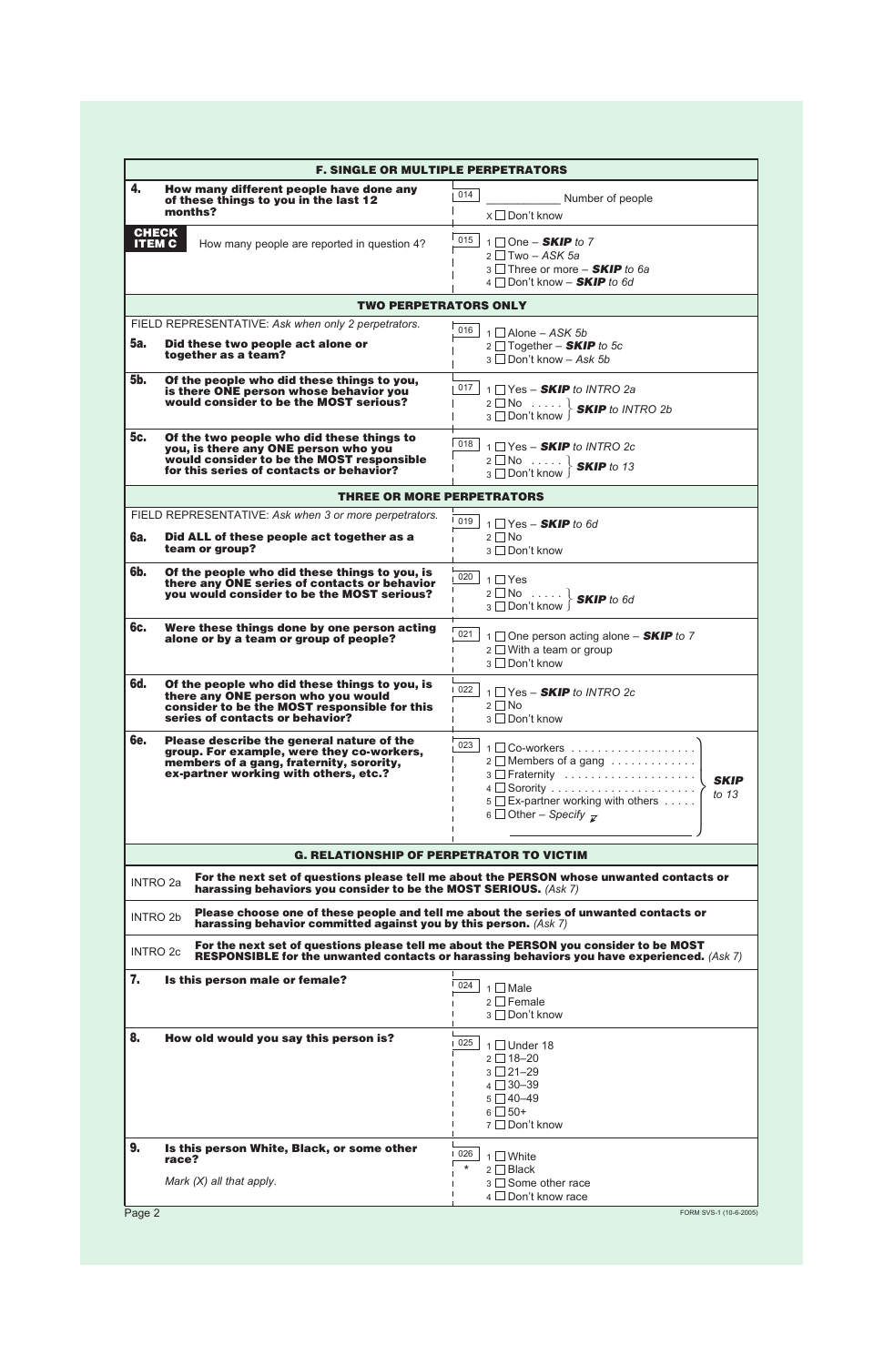| <b>F. SINGLE OR MULTIPLE PERPETRATORS</b> |                                                                                                                                                                             |                                                                                                                                                                                     |  |
|-------------------------------------------|-----------------------------------------------------------------------------------------------------------------------------------------------------------------------------|-------------------------------------------------------------------------------------------------------------------------------------------------------------------------------------|--|
| 4.                                        | How many different people have done any<br>of these things to you in the last 12<br>months?                                                                                 | 014<br>Number of people<br>$X \square$ Don't know                                                                                                                                   |  |
| <b>CHECK</b><br><b>ITEM C</b>             | How many people are reported in question 4?                                                                                                                                 | 015<br>$1 \square$ One - <b>SKIP</b> to 7<br>$2 \square$ Two - ASK 5a<br>$3$ Three or more - <b>SKIP</b> to 6a<br>4 $\Box$ Don't know - <b>SKIP</b> to 6d                           |  |
|                                           | <b>TWO PERPETRATORS ONLY</b>                                                                                                                                                |                                                                                                                                                                                     |  |
|                                           | FIELD REPRESENTATIVE: Ask when only 2 perpetrators.                                                                                                                         | 016<br>$1 \square$ Alone – ASK 5b                                                                                                                                                   |  |
| <b>5a.</b>                                | Did these two people act alone or<br>together as a team?                                                                                                                    | 2 $\Box$ Together - <b>SKIP</b> to 5c<br>$3 \Box$ Don't know - Ask 5b                                                                                                               |  |
| 5b.                                       | Of the people who did these things to you,<br>is there ONE person whose behavior you<br>would consider to be the MOST serious?                                              | 017<br>$1 \square$ Yes - <b>SKIP</b> to INTRO 2a<br>2 $\Box$ No $\cdots$ $\}$ <b>SKIP</b> to INTRO 2b<br>3 □ Don't know                                                             |  |
| 5c.                                       | Of the two people who did these things to<br>you, is there any ONE person who you<br>would consider to be the MOST responsible<br>for this series of contacts or behavior?  | 018<br>$1 \square$ Yes - <b>SKIP</b> to INTRO 2c<br>2 $\boxed{\text{No}}$ $\}$ <b>SKIP</b> to 13                                                                                    |  |
|                                           | <b>THREE OR MORE PERPETRATORS</b>                                                                                                                                           |                                                                                                                                                                                     |  |
|                                           | FIELD REPRESENTATIVE: Ask when 3 or more perpetrators.                                                                                                                      | 019<br>$1 \square$ Yes - <b>SKIP</b> to 6d                                                                                                                                          |  |
| <b>6a.</b>                                | Did ALL of these people act together as a<br>team or group?                                                                                                                 | $2 \Box$ No<br>3 □ Don't know                                                                                                                                                       |  |
| 6b.                                       | Of the people who did these things to you, is<br>there any ONE series of contacts or behavior<br>you would consider to be the MOST serious?                                 | 020<br>$1 \square$ Yes<br>$2 \square No$<br>$3 \square Don't know$<br><b>SKIP</b> to 6d                                                                                             |  |
| 6c.                                       | Were these things done by one person acting<br>alone or by a team or group of people?                                                                                       | 021<br>$1 \square$ One person acting alone – <b>SKIP</b> to 7<br>$2 \square$ With a team or group<br>3 □ Don't know                                                                 |  |
| <b>6d.</b>                                | Of the people who did these things to you, is<br>there any ONE person who you would<br>consider to be the MOST responsible for this<br>series of contacts or behavior?      | 022<br>$1 \square$ Yes – <b>SKIP</b> to INTRO 2c<br>$2 \Box$ No<br>3 □ Don't know                                                                                                   |  |
| 6e.                                       | Please describe the general nature of the<br>group. For example, were they co-workers,<br>members of a gang, fraternity, sorority,<br>ex-partner working with others, etc.? | 023<br>$1 \square$ Co-workers<br>$2 \square$ Members of a gang<br><b>SKIP</b><br>to 13<br>5 Ex-partner working with others<br>6 Other – Specify $\overline{z}$                      |  |
|                                           | <b>G. RELATIONSHIP OF PERPETRATOR TO VICTIM</b>                                                                                                                             |                                                                                                                                                                                     |  |
| <b>INTRO 2a</b>                           | harassing behaviors you consider to be the MOST SERIOUS. (Ask 7)                                                                                                            | For the next set of questions please tell me about the PERSON whose unwanted contacts or                                                                                            |  |
| <b>INTRO 2b</b>                           | harassing behavior committed against you by this person. (Ask 7)                                                                                                            | Please choose one of these people and tell me about the series of unwanted contacts or                                                                                              |  |
| <b>INTRO 2c</b>                           |                                                                                                                                                                             | For the next set of questions please tell me about the PERSON you consider to be MOST<br>RESPONSIBLE for the unwanted contacts or harassing behaviors you have experienced. (Ask 7) |  |
| 7.                                        | Is this person male or female?                                                                                                                                              | 024<br>$1 \square$ Male<br>$2 \square$ Female<br>3 □ Don't know                                                                                                                     |  |
| 8.                                        | How old would you say this person is?                                                                                                                                       | 025<br>1 □ Under 18<br>$2 \square$ 18-20<br>$3 \square 21 - 29$<br>$4 \square 30 - 39$<br>$5 \square 40 - 49$<br>$6 \square 50+$<br>7 □ Don't know                                  |  |
| 9.                                        | Is this person White, Black, or some other<br>race?<br>Mark $(X)$ all that apply.                                                                                           | 1026<br>$1$ White<br>$^\star$<br>$2 \Box$ Black<br>3 □ Some other race                                                                                                              |  |
|                                           |                                                                                                                                                                             | 4 □ Don't know race                                                                                                                                                                 |  |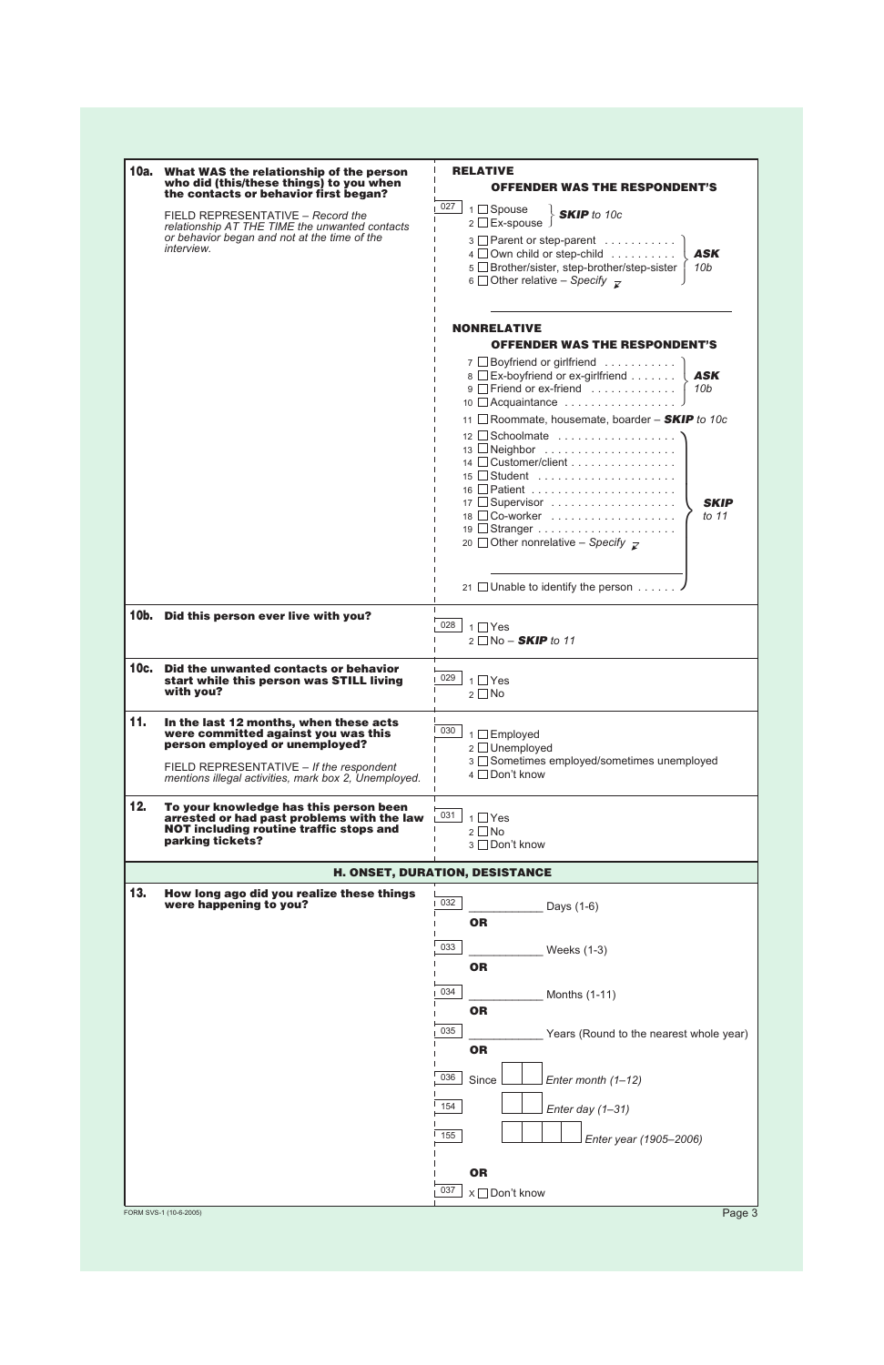| 10a. | What WAS the relationship of the person<br>who did (this/these things) to you when<br>the contacts or behavior first began?                                 | <b>RELATIVE</b><br><b>OFFENDER WAS THE RESPONDENT'S</b>                                                                                                                                                                                                        |
|------|-------------------------------------------------------------------------------------------------------------------------------------------------------------|----------------------------------------------------------------------------------------------------------------------------------------------------------------------------------------------------------------------------------------------------------------|
|      | FIELD REPRESENTATIVE - Record the<br>relationship AT THE TIME the unwanted contacts<br>or behavior began and not at the time of the<br><i>interview.</i>    | 027<br>$1 \square$ Spouse<br><b>SKIP</b> to 10c<br>2 □ Ex-spouse<br>3 Parent or step-parent<br>4 Own child or step-child<br><b>ASK</b><br>5 Brother/sister, step-brother/step-sister<br>10 <sub>b</sub><br>6 Other relative – Specify $\overline{\mathcal{L}}$ |
|      |                                                                                                                                                             | <b>NONRELATIVE</b>                                                                                                                                                                                                                                             |
|      |                                                                                                                                                             | <b>OFFENDER WAS THE RESPONDENT'S</b>                                                                                                                                                                                                                           |
|      |                                                                                                                                                             | $7 \Box$ Boyfriend or girlfriend $\ldots \ldots \ldots$<br>8 □ Ex-boyfriend or ex-girlfriend<br><b>ASK</b><br>9 Friend or ex-friend<br>10 <sub>b</sub><br>10 Acquaintance                                                                                      |
|      |                                                                                                                                                             | 11 $\Box$ Roommate, housemate, boarder - <b>SKIP</b> to 10c                                                                                                                                                                                                    |
|      |                                                                                                                                                             | 12 Schoolmate<br>$13 \Box$ Neighbor $\ldots \ldots \ldots \ldots \ldots$<br>14 Customer/client<br>$15 \square$ Student<br>17 Supervisor<br><b>SKIP</b><br>18 $\Box$ Co-worker<br>to $11$<br>20 Other nonrelative – Specify $\bar{z}$                           |
|      |                                                                                                                                                             | 21 □ Unable to identify the person                                                                                                                                                                                                                             |
| 10b. | Did this person ever live with you?                                                                                                                         | 028<br>$1 \square$ Yes<br>$2 \Box$ No – <b>SKIP</b> to 11                                                                                                                                                                                                      |
| 10c. | Did the unwanted contacts or behavior<br>start while this person was STILL living<br>with you?                                                              | 029<br>$1 \square$ Yes<br>$2 \square$ No                                                                                                                                                                                                                       |
| 11.  | In the last 12 months, when these acts<br>were committed against you was this<br>person employed or unemployed?<br>FIELD REPRESENTATIVE - If the respondent | 030<br>$1 \square$ Employed<br>$2 \Box$ Unemployed<br>3 □ Sometimes employed/sometimes unemployed                                                                                                                                                              |
|      | mentions illegal activities, mark box 2, Unemployed.                                                                                                        | 4 □ Don't know                                                                                                                                                                                                                                                 |
| 12.  | To your knowledge has this person been<br>arrested or had past problems with the law<br><b>NOT including routine traffic stops and</b><br>parking tickets?  | 031<br>$1 \square$ Yes<br>$2 \square$ No<br>3 □ Don't know                                                                                                                                                                                                     |
|      |                                                                                                                                                             | <b>H. ONSET, DURATION, DESISTANCE</b>                                                                                                                                                                                                                          |
| 13.  | How long ago did you realize these things<br>were happening to you?                                                                                         | 032<br>Days (1-6)<br><b>OR</b>                                                                                                                                                                                                                                 |
|      |                                                                                                                                                             | 033<br>Weeks (1-3)                                                                                                                                                                                                                                             |
|      |                                                                                                                                                             | <b>OR</b>                                                                                                                                                                                                                                                      |
|      |                                                                                                                                                             | 034<br>Months (1-11)                                                                                                                                                                                                                                           |
|      |                                                                                                                                                             | <b>OR</b>                                                                                                                                                                                                                                                      |
|      |                                                                                                                                                             | 035<br>Years (Round to the nearest whole year)<br><b>OR</b>                                                                                                                                                                                                    |
|      |                                                                                                                                                             | 036<br>Since<br>Enter month $(1-12)$                                                                                                                                                                                                                           |
|      |                                                                                                                                                             | 154<br>Enter day $(1-31)$                                                                                                                                                                                                                                      |
|      |                                                                                                                                                             | 155<br>Enter year (1905-2006)                                                                                                                                                                                                                                  |
|      |                                                                                                                                                             | <b>OR</b>                                                                                                                                                                                                                                                      |
|      |                                                                                                                                                             | 037<br>x □ Don't know                                                                                                                                                                                                                                          |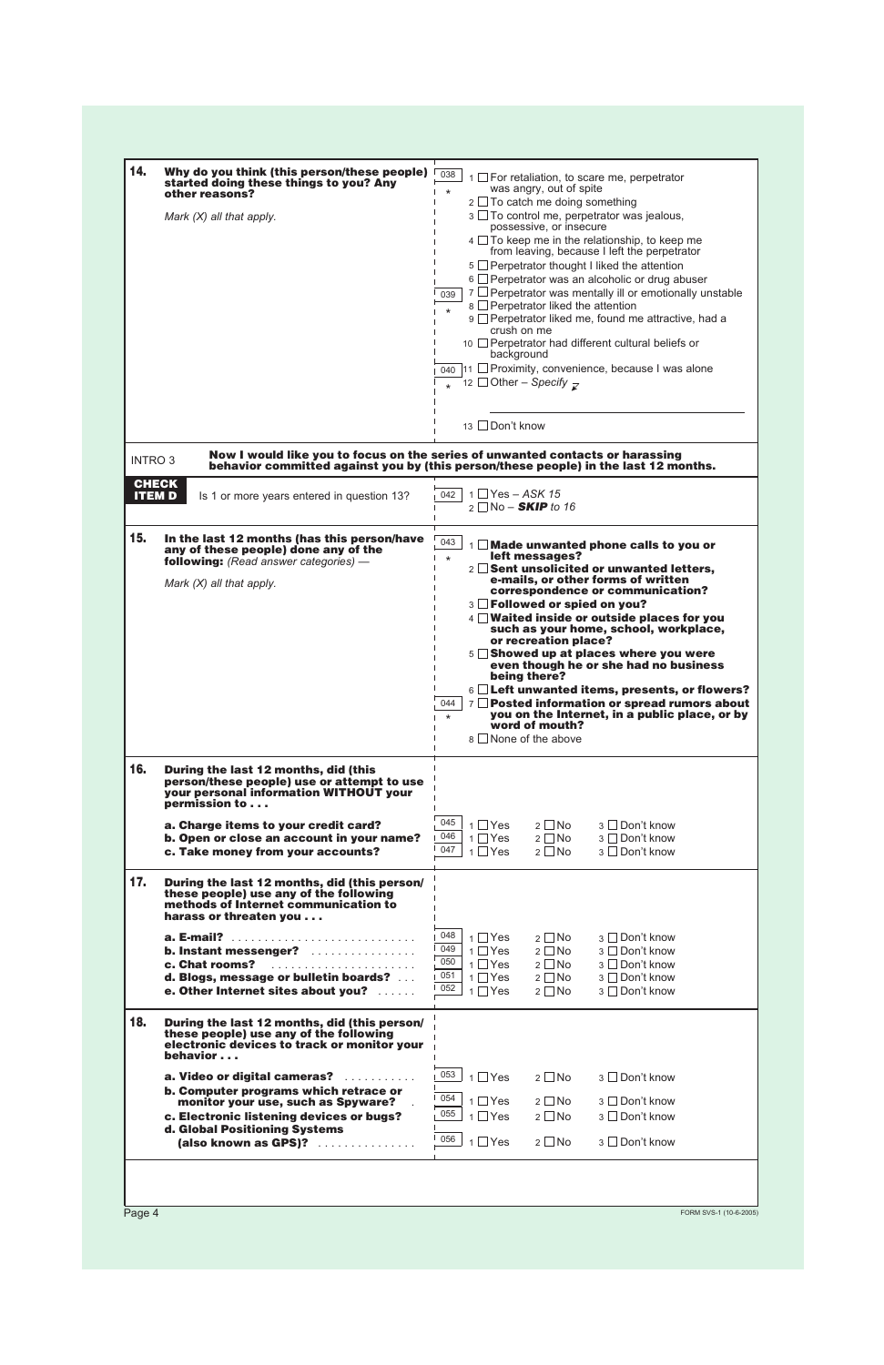| 14.                          | Why do you think (this person/these people)<br>started doing these things to you? Any<br>other reasons?<br>Mark $(X)$ all that apply.                                                                                                                                              | 038<br>$\frac{1}{1}$ For retaliation, to scare me, perpetrator<br>was angry, out of spite<br>$\star$<br>$2 \square$ To catch me doing something<br>$3 \square$ To control me, perpetrator was jealous,<br>possessive, or insecure<br>$4\Box$ To keep me in the relationship, to keep me<br>from leaving, because I left the perpetrator<br>$5 \Box$ Perpetrator thought I liked the attention<br>$6 \Box$ Perpetrator was an alcoholic or drug abuser<br>$7 \Box$ Perpetrator was mentally ill or emotionally unstable<br>039<br>$8 \Box$ Perpetrator liked the attention<br>$\star$<br>9 □ Perpetrator liked me, found me attractive, had a<br>crush on me<br>10 □ Perpetrator had different cultural beliefs or<br>background<br>$\overline{040}$ 11 $\Box$ Proximity, convenience, because I was alone<br>12 Other – Specify $\overline{z}$<br>13 $\Box$ Don't know |
|------------------------------|------------------------------------------------------------------------------------------------------------------------------------------------------------------------------------------------------------------------------------------------------------------------------------|------------------------------------------------------------------------------------------------------------------------------------------------------------------------------------------------------------------------------------------------------------------------------------------------------------------------------------------------------------------------------------------------------------------------------------------------------------------------------------------------------------------------------------------------------------------------------------------------------------------------------------------------------------------------------------------------------------------------------------------------------------------------------------------------------------------------------------------------------------------------|
| <b>INTRO3</b>                |                                                                                                                                                                                                                                                                                    | Now I would like you to focus on the series of unwanted contacts or harassing<br>behavior committed against you by (this person/these people) in the last 12 months.                                                                                                                                                                                                                                                                                                                                                                                                                                                                                                                                                                                                                                                                                                   |
| <b>CHECK</b><br><b>ITEMD</b> | Is 1 or more years entered in question 13?                                                                                                                                                                                                                                         | $1 \square$ Yes - ASK 15<br>042<br>2 $\Box$ No – <b>SKIP</b> to 16                                                                                                                                                                                                                                                                                                                                                                                                                                                                                                                                                                                                                                                                                                                                                                                                     |
| 15.                          | In the last 12 months (has this person/have<br>any of these people) done any of the<br>following: (Read answer categories) -<br>Mark $(X)$ all that apply.                                                                                                                         | 043<br>$\frac{1}{1}$ Made unwanted phone calls to you or<br>left messages?<br>$\star$<br>2 Sent unsolicited or unwanted letters,<br>e-mails, or other forms of written<br>correspondence or communication?<br>3 Followed or spied on you?<br>$4\Box$ Waited inside or outside places for you<br>such as your home, school, workplace,<br>or recreation place?<br>$5\Box$ Showed up at places where you were<br>even though he or she had no business<br>being there?<br>$6 \square$ Left unwanted items, presents, or flowers?<br>7 Posted information or spread rumors about<br>044<br>you on the Internet, in a public place, or by<br>$\star$<br>word of mouth?<br>8 □ None of the above                                                                                                                                                                            |
| 16.                          | During the last 12 months, did (this<br>person/these people) use or attempt to use<br>your personal information WITHOUT your<br>permission to                                                                                                                                      |                                                                                                                                                                                                                                                                                                                                                                                                                                                                                                                                                                                                                                                                                                                                                                                                                                                                        |
|                              | a. Charge items to your credit card?<br>b. Open or close an account in your name?<br>c. Take money from your accounts?                                                                                                                                                             | 045<br>$1 \square$ Yes<br>$2 \Box$ No<br>$3 \Box$ Don't know<br>046<br>$1 \square$ Yes<br>$2 \square$ No<br>3 □ Don't know<br>047<br>$1 \square$ Yes<br>$2 \Box$ No<br>3 □ Don't know                                                                                                                                                                                                                                                                                                                                                                                                                                                                                                                                                                                                                                                                                  |
| 17.                          | During the last 12 months, did (this person/<br>these people) use any of the following<br>methods of Internet communication to<br>harass or threaten you<br>b. Instant messenger?<br>c. Chat rooms?<br>d. Blogs, message or bulletin boards?<br>e. Other Internet sites about you? | 048<br>$2 \Box$ No<br>3 □ Don't know<br>$1$ Yes<br>049<br>$1 \square$ Yes<br>$2 \Box$ No<br>3 □ Don't know<br>050<br>$1 \Box Y$ es<br>$2 \Box$ No<br>3 □ Don't know<br>051<br>$1 \square$ Yes<br>3 □ Don't know<br>$2 \Box$ No<br>052<br>$1$ $\Box$ Yes<br>$2 \Box$ No<br>$3 \Box$ Don't know                                                                                                                                                                                                                                                                                                                                                                                                                                                                                                                                                                          |
| 18.                          | During the last 12 months, did (this person/<br>these people) use any of the following<br>electronic devices to track or monitor your<br>behavior                                                                                                                                  |                                                                                                                                                                                                                                                                                                                                                                                                                                                                                                                                                                                                                                                                                                                                                                                                                                                                        |
|                              | a. Video or digital cameras?<br>b. Computer programs which retrace or<br>monitor your use, such as Spyware?<br>c. Electronic listening devices or bugs?<br>d. Global Positioning Systems<br>(also known as GPS)?                                                                   | 053<br>$1$ $\Box$ Yes<br>$2 \square$ No<br>$3 \Box$ Don't know<br>054<br>$1 \square$ Yes<br>$2 \Box$ No<br>3 □ Don't know<br>055<br>$1$ $\Box$ Yes<br>$2 \square$ No<br>3 □ Don't know<br>056<br>$1$ $\Box$ Yes<br>$2 \Box$ No<br>3 □ Don't know                                                                                                                                                                                                                                                                                                                                                                                                                                                                                                                                                                                                                       |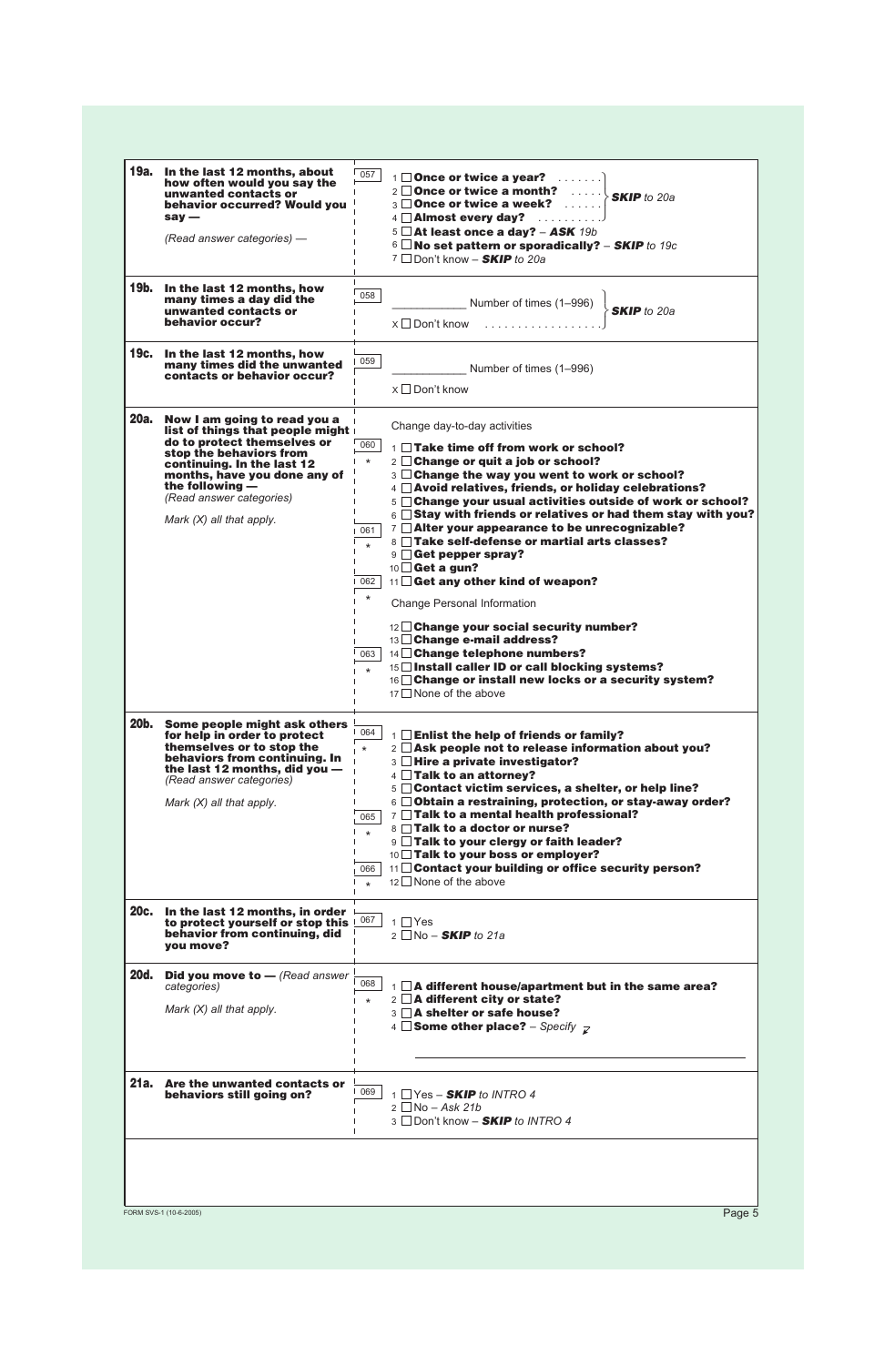|             | 19a. In the last 12 months, about<br>how often would you say the<br>unwanted contacts or<br>behavior occurred? Would you<br>$say -$<br>(Read answer categories) -                                                                                                     | 057<br>$1 \square$ Once or twice a year? $\ldots \square$<br>2 Once or twice a month? $\begin{array}{ c c c c c }\n\hline\n2 & \text{Once or twice a month?} \end{array}$ SKIP to 20a<br>3 □ Once or twice a week?<br>4 Almost every day?<br>$5 \Box$ At least once a day? - ASK 19b<br>6 $\Box$ No set pattern or sporadically? – SKIP to 19c<br>7 Don't know - <b>SKIP</b> to 20a                                                                                                                                                                                                                                                                                                                                                                                                                                                                                                                                          |
|-------------|-----------------------------------------------------------------------------------------------------------------------------------------------------------------------------------------------------------------------------------------------------------------------|------------------------------------------------------------------------------------------------------------------------------------------------------------------------------------------------------------------------------------------------------------------------------------------------------------------------------------------------------------------------------------------------------------------------------------------------------------------------------------------------------------------------------------------------------------------------------------------------------------------------------------------------------------------------------------------------------------------------------------------------------------------------------------------------------------------------------------------------------------------------------------------------------------------------------|
| 19b.        | In the last 12 months, how<br>many times a day did the<br>unwanted contacts or<br><b>behavior occur?</b>                                                                                                                                                              | 058                                                                                                                                                                                                                                                                                                                                                                                                                                                                                                                                                                                                                                                                                                                                                                                                                                                                                                                          |
|             | 19c. In the last 12 months, how<br>many times did the unwanted<br>contacts or behavior occur?                                                                                                                                                                         | 059<br>Number of times (1-996)<br>x □ Don't know                                                                                                                                                                                                                                                                                                                                                                                                                                                                                                                                                                                                                                                                                                                                                                                                                                                                             |
| 20a.        | Now I am going to read you a<br>list of things that people might<br>do to protect themselves or<br>stop the behaviors from<br>continuing. In the last 12<br>months, have you done any of<br>the following -<br>(Read answer categories)<br>Mark $(X)$ all that apply. | Change day-to-day activities<br>060<br>1 Take time off from work or school?<br>$2 \square$ Change or quit a job or school?<br>$\star$<br>$3 \square$ Change the way you went to work or school?<br>4 Avoid relatives, friends, or holiday celebrations?<br>$5\Box$ Change your usual activities outside of work or school?<br>$6\Box$ Stay with friends or relatives or had them stay with you?<br>7 Alter your appearance to be unrecognizable?<br>061<br>8 Take self-defense or martial arts classes?<br>$\star$<br>9 Get pepper spray?<br>10 Get a gun?<br>11 Get any other kind of weapon?<br>062<br>$^\star$<br><b>Change Personal Information</b><br>12 Change your social security number?<br>13 Change e-mail address?<br>14 Change telephone numbers?<br>063<br>15 <sup>15</sup> Install caller ID or call blocking systems?<br>16 Change or install new locks or a security system?<br>$17 \Box$ None of the above |
| 20b.        | Some people might ask others<br>for help in order to protect<br>themselves or to stop the<br>behaviors from continuing. In<br>the last 12 months, did you -<br>(Read answer categories)<br>Mark $(X)$ all that apply.                                                 | 064<br>1 Enlist the help of friends or family?<br>$2 \square$ Ask people not to release information about you?<br>$^{\star}$<br>$3 \Box$ Hire a private investigator?<br>4 Talk to an attorney?<br>$5 \square$ Contact victim services, a shelter, or help line?<br>$6\Box$ Obtain a restraining, protection, or stay-away order?<br>7 Talk to a mental health professional?<br>065<br>8 Talk to a doctor or nurse?<br>$\star$<br>9 Talk to your clergy or faith leader?<br>10 Talk to your boss or employer?<br>11 Contact your building or office security person?<br>066<br>$12 \Box$ None of the above<br>$\star$                                                                                                                                                                                                                                                                                                        |
| 20c.        | In the last 12 months, in order<br>to protect yourself or stop this<br>behavior from continuing, did<br>you move?                                                                                                                                                     | 067<br>$1$ $\Box$ Yes<br>$2 \Box$ No – <b>SKIP</b> to 21a                                                                                                                                                                                                                                                                                                                                                                                                                                                                                                                                                                                                                                                                                                                                                                                                                                                                    |
| <b>20d.</b> | <b>Did you move to</b> $-$ (Read answer<br>categories)<br>Mark $(X)$ all that apply.                                                                                                                                                                                  | 068<br>$1 \square$ A different house/apartment but in the same area?<br>$2 \Box$ A different city or state?<br>$\star$<br>3 A shelter or safe house?<br>4 Some other place? – Specify $\overline{\chi}$                                                                                                                                                                                                                                                                                                                                                                                                                                                                                                                                                                                                                                                                                                                      |
|             | 21a. Are the unwanted contacts or<br>behaviors still going on?                                                                                                                                                                                                        | 069<br>1 $\Box$ Yes – <b>SKIP</b> to INTRO 4<br>$2 \Box$ No - Ask 21b<br>$3 \Box$ Don't know – <b>SKIP</b> to INTRO 4                                                                                                                                                                                                                                                                                                                                                                                                                                                                                                                                                                                                                                                                                                                                                                                                        |
|             |                                                                                                                                                                                                                                                                       |                                                                                                                                                                                                                                                                                                                                                                                                                                                                                                                                                                                                                                                                                                                                                                                                                                                                                                                              |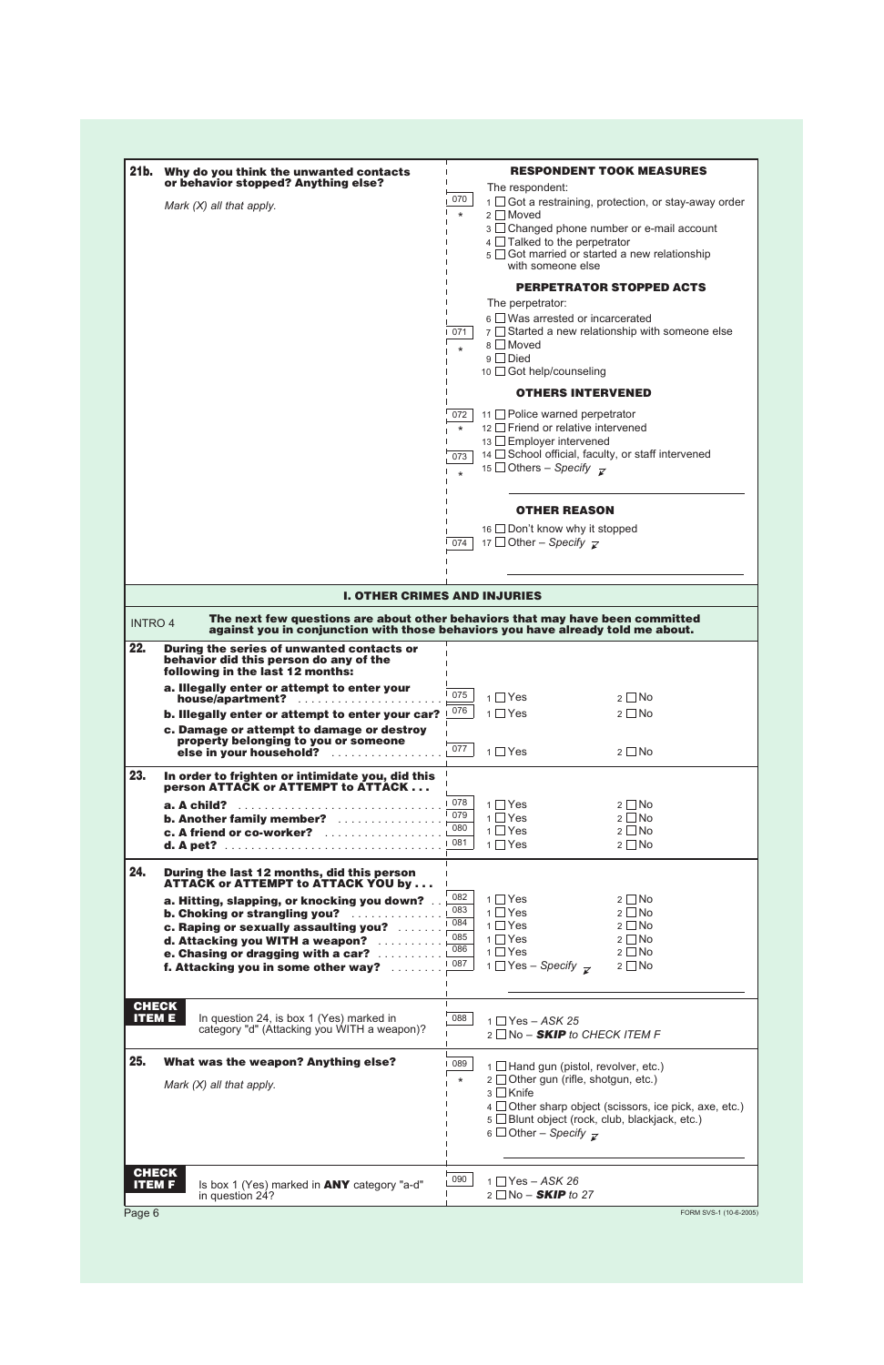|                               | 21b. Why do you think the unwanted contacts<br>or behavior stopped? Anything else?                                                                                                                                                                                                                                                                             |                                             | <b>RESPONDENT TOOK MEASURES</b><br>The respondent:                                                                                                                                                                                                                                                                                       |
|-------------------------------|----------------------------------------------------------------------------------------------------------------------------------------------------------------------------------------------------------------------------------------------------------------------------------------------------------------------------------------------------------------|---------------------------------------------|------------------------------------------------------------------------------------------------------------------------------------------------------------------------------------------------------------------------------------------------------------------------------------------------------------------------------------------|
|                               | Mark $(X)$ all that apply.                                                                                                                                                                                                                                                                                                                                     | 070<br>$\star$                              | 1 □ Got a restraining, protection, or stay-away order<br>$2 \square$ Moved<br>3 □ Changed phone number or e-mail account<br>$4 \Box$ Talked to the perpetrator<br>$5 \square$ Got married or started a new relationship<br>with someone else                                                                                             |
|                               |                                                                                                                                                                                                                                                                                                                                                                | 071<br>$\star$<br>072<br>$\star$            | <b>PERPETRATOR STOPPED ACTS</b><br>The perpetrator:<br>$6 \square$ Was arrested or incarcerated<br>$7 \square$ Started a new relationship with someone else<br>$8 \Box$ Moved<br>$9 \Box$ Died<br>10 $\Box$ Got help/counseling<br><b>OTHERS INTERVENED</b><br>11 $\Box$ Police warned perpetrator<br>$12$ Friend or relative intervened |
|                               |                                                                                                                                                                                                                                                                                                                                                                | 073<br>$\star$                              | $13$ $\Box$ Employer intervened<br>14 □ School official, faculty, or staff intervened<br>15 Others – Specify $\overline{\phantom{a}}$                                                                                                                                                                                                    |
|                               |                                                                                                                                                                                                                                                                                                                                                                | 074                                         | <b>OTHER REASON</b><br>16 □ Don't know why it stopped<br>17 Other – Specify $\overline{z}$                                                                                                                                                                                                                                               |
|                               | <b>I. OTHER CRIMES AND INJURIES</b>                                                                                                                                                                                                                                                                                                                            |                                             |                                                                                                                                                                                                                                                                                                                                          |
| <b>INTRO 4</b>                | The next few questions are about other behaviors that may have been committed<br>against you in conjunction with those behaviors you have already told me about.                                                                                                                                                                                               |                                             |                                                                                                                                                                                                                                                                                                                                          |
| 22.                           | During the series of unwanted contacts or<br>behavior did this person do any of the<br>following in the last 12 months:<br>a. Illegally enter or attempt to enter your<br>house/apartment?<br>b. Illegally enter or attempt to enter your car?<br>c. Damage or attempt to damage or destroy<br>property belonging to you or someone<br>else in your household? | 075<br>076<br>077                           | $1 \square$ Yes<br>$2 \Box$ No<br>$1 \square$ Yes<br>$2 \square$ No<br>$1 \square Y$ es<br>$2 \square$ No                                                                                                                                                                                                                                |
| 23.                           | In order to frighten or intimidate you, did this<br>person ATTACK or ATTEMPT to ATTACK<br>a. A child?<br>b. Another family member?<br>c. A friend or co-worker?                                                                                                                                                                                                | 078<br>$\overline{079}$<br>$\overline{080}$ | $1 \square$ Yes<br>$2 \square$ No<br>$1 \square$ Yes<br>$2 \square$ No<br>$1 \square$ Yes<br>$2 \square$ No<br>$1 \square$ Yes<br>$2 \square$ No                                                                                                                                                                                         |
| 24.                           | During the last 12 months, did this person<br>ATTACK or ATTEMPT to ATTACK YOU by<br>a. Hitting, slapping, or knocking you down?<br>b. Choking or strangling you?<br>c. Raping or sexually assaulting you?<br>d. Attacking you WITH a weapon?<br>e. Chasing or dragging with a car?<br>f. Attacking you in some other way?                                      | 082<br>083<br>084<br>085<br>086<br>087      | $1 \square$ Yes<br>$2 \Box$ No<br>$1 \square$ Yes<br>$2 \square$ No<br>$1 \square$ Yes<br>$2 \square$ No<br>$1 \square$ Yes<br>$2 \square$ No<br>$1 \square$ Yes<br>$2 \square$ No<br>1 TYes - Specify $\overline{z}$<br>$2 \square$ No                                                                                                  |
| <b>CHECK</b><br><b>ITEM E</b> | In question 24, is box 1 (Yes) marked in<br>category "d" (Attacking you WITH a weapon)?                                                                                                                                                                                                                                                                        | 088                                         | $1$ $\Box$ Yes - ASK 25<br>$2 \square$ No – <b>SKIP</b> to CHECK ITEM F                                                                                                                                                                                                                                                                  |
| 25.                           | What was the weapon? Anything else?<br>Mark $(X)$ all that apply.                                                                                                                                                                                                                                                                                              | 089<br>$\star$                              | $1 \square$ Hand gun (pistol, revolver, etc.)<br>$2 \square$ Other gun (rifle, shotgun, etc.)<br>3 □ Knife<br>$4 \Box$ Other sharp object (scissors, ice pick, axe, etc.)<br>$5 \square$ Blunt object (rock, club, blackjack, etc.)<br>6 Other – Specify $\overline{\nu}$                                                                |
| <b>CHECK</b><br><b>ITEM F</b> | Is box 1 (Yes) marked in ANY category "a-d"<br>in question 24?                                                                                                                                                                                                                                                                                                 | 090                                         | $1 \square$ Yes - ASK 26<br>$2 \Box$ No - <b>SKIP</b> to 27                                                                                                                                                                                                                                                                              |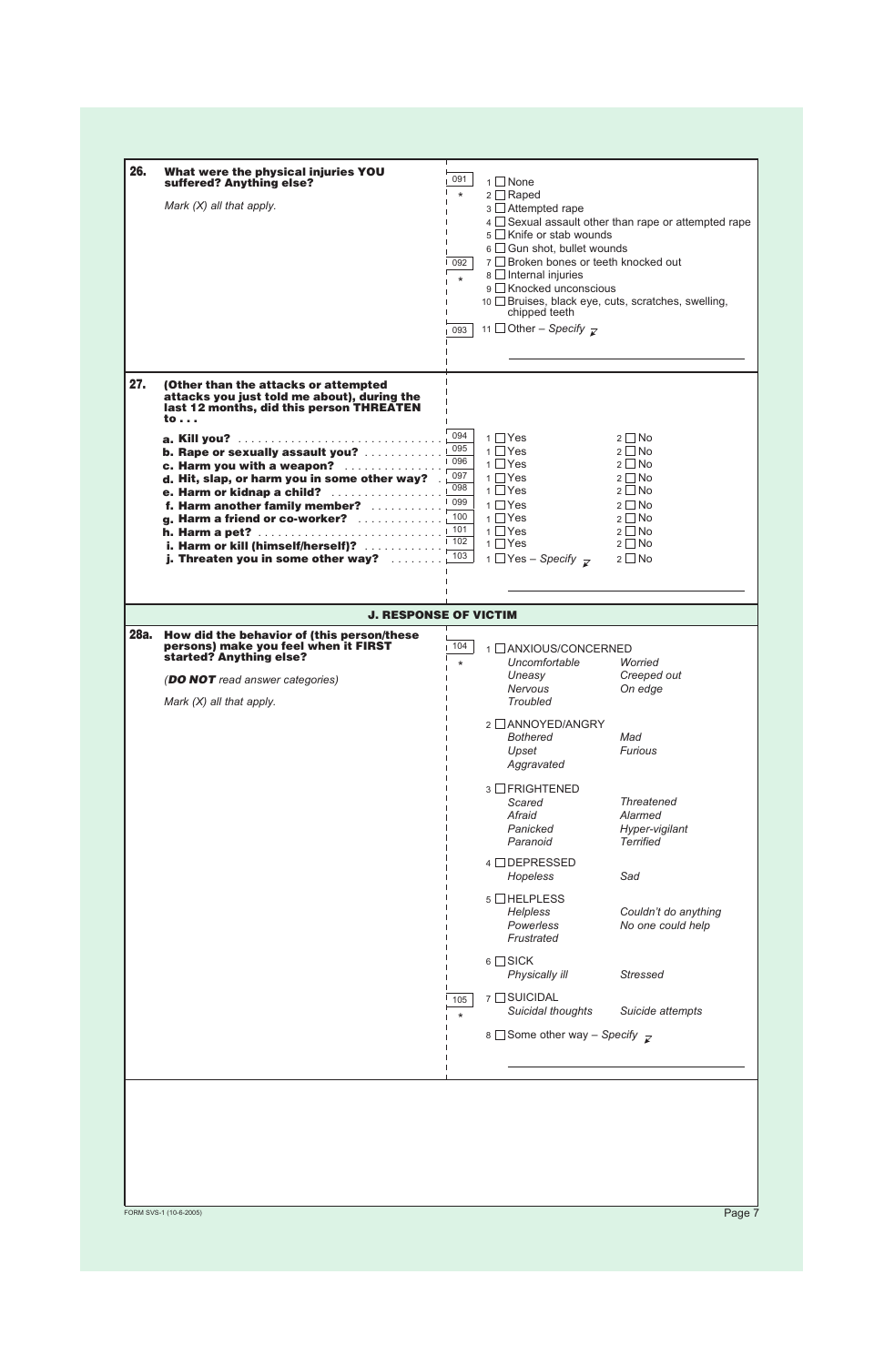| 26.  | What were the physical injuries YOU<br>suffered? Anything else?                                                                                                                                                                                                                                   | 091                                                                | $1 \square$ None                                                                                                                                                                                                                                                                                                                                                                                                                                                                                                                                                                                                                                                                       |
|------|---------------------------------------------------------------------------------------------------------------------------------------------------------------------------------------------------------------------------------------------------------------------------------------------------|--------------------------------------------------------------------|----------------------------------------------------------------------------------------------------------------------------------------------------------------------------------------------------------------------------------------------------------------------------------------------------------------------------------------------------------------------------------------------------------------------------------------------------------------------------------------------------------------------------------------------------------------------------------------------------------------------------------------------------------------------------------------|
|      | Mark $(X)$ all that apply.                                                                                                                                                                                                                                                                        | $\star$<br>092<br>$\star$<br>093                                   | $2 \square$ Raped<br>3 □ Attempted rape<br>$4 \square$ Sexual assault other than rape or attempted rape<br>$5 \square$ Knife or stab wounds<br>$6 \square$ Gun shot, bullet wounds<br>7 Broken bones or teeth knocked out<br>$8 \Box$ Internal injuries<br>9 □ Knocked unconscious<br>$10$ $\Box$ Bruises, black eye, cuts, scratches, swelling,<br>chipped teeth<br>11 Other – Specify $\overline{\mathcal{L}}$                                                                                                                                                                                                                                                                       |
| 27.  | (Other than the attacks or attempted<br>attacks you just told me about), during the<br>last 12 months, did this person THREATEN<br>to $\ldots$                                                                                                                                                    |                                                                    |                                                                                                                                                                                                                                                                                                                                                                                                                                                                                                                                                                                                                                                                                        |
|      | b. Rape or sexually assault you?<br>c. Harm you with a weapon?<br>d. Hit, slap, or harm you in some other way?<br>e. Harm or kidnap a child?<br>.<br>f. Harm another family member?<br>g. Harm a friend or co-worker?<br>i. Harm or kill (himself/herself)?<br>j. Threaten you in some other way? | 094<br>095<br>096<br>097<br>098<br>099<br>100<br>101<br>102<br>103 | $1 \square$ Yes<br>$2 \square$ No<br>1 □ Yes<br>$2 \Box$ No<br>1 □ Yes<br>$2 \square$ No<br>$1 \square Y$ es<br>$2 \Box$ No<br>1 □ Yes<br>$2 \Box$ No<br>$1 \square$ Yes<br>$2 \square$ No<br>1 □ Yes<br>$2 \square$ No<br>1 □ Yes<br>$2 \square$ No<br>$1 \square$ Yes<br>$2 \square$ No<br>1 TYes - Specify $\overline{z}$<br>$2 \square$ No                                                                                                                                                                                                                                                                                                                                         |
|      | <b>J. RESPONSE OF VICTIM</b>                                                                                                                                                                                                                                                                      |                                                                    |                                                                                                                                                                                                                                                                                                                                                                                                                                                                                                                                                                                                                                                                                        |
| 28a. | How did the behavior of (this person/these<br>persons) make you feel when it FIRST<br>started? Anything else?<br>(DO NOT read answer categories)<br>Mark $(X)$ all that apply.                                                                                                                    | 104<br>*<br>105<br>$\star$                                         | 1 □ ANXIOUS/CONCERNED<br>Uncomfortable<br>Worried<br>Creeped out<br>Uneasy<br><b>Nervous</b><br>On edge<br><b>Troubled</b><br>2 □ ANNOYED/ANGRY<br><b>Bothered</b><br>Mad<br><b>Furious</b><br>Upset<br>Aggravated<br>3 □ FRIGHTENED<br>Scared<br><b>Threatened</b><br>Alarmed<br>Afraid<br>Panicked<br>Hyper-vigilant<br><b>Terrified</b><br>Paranoid<br>4 □ DEPRESSED<br>Sad<br>Hopeless<br>$5 \Box$ HELPLESS<br><b>Helpless</b><br>Couldn't do anything<br>Powerless<br>No one could help<br>Frustrated<br>$6 \square$ SICK<br><b>Stressed</b><br>Physically ill<br>7 □ SUICIDAL<br>Suicidal thoughts<br>Suicide attempts<br>$8 \square$ Some other way – Specify $\overline{\chi}$ |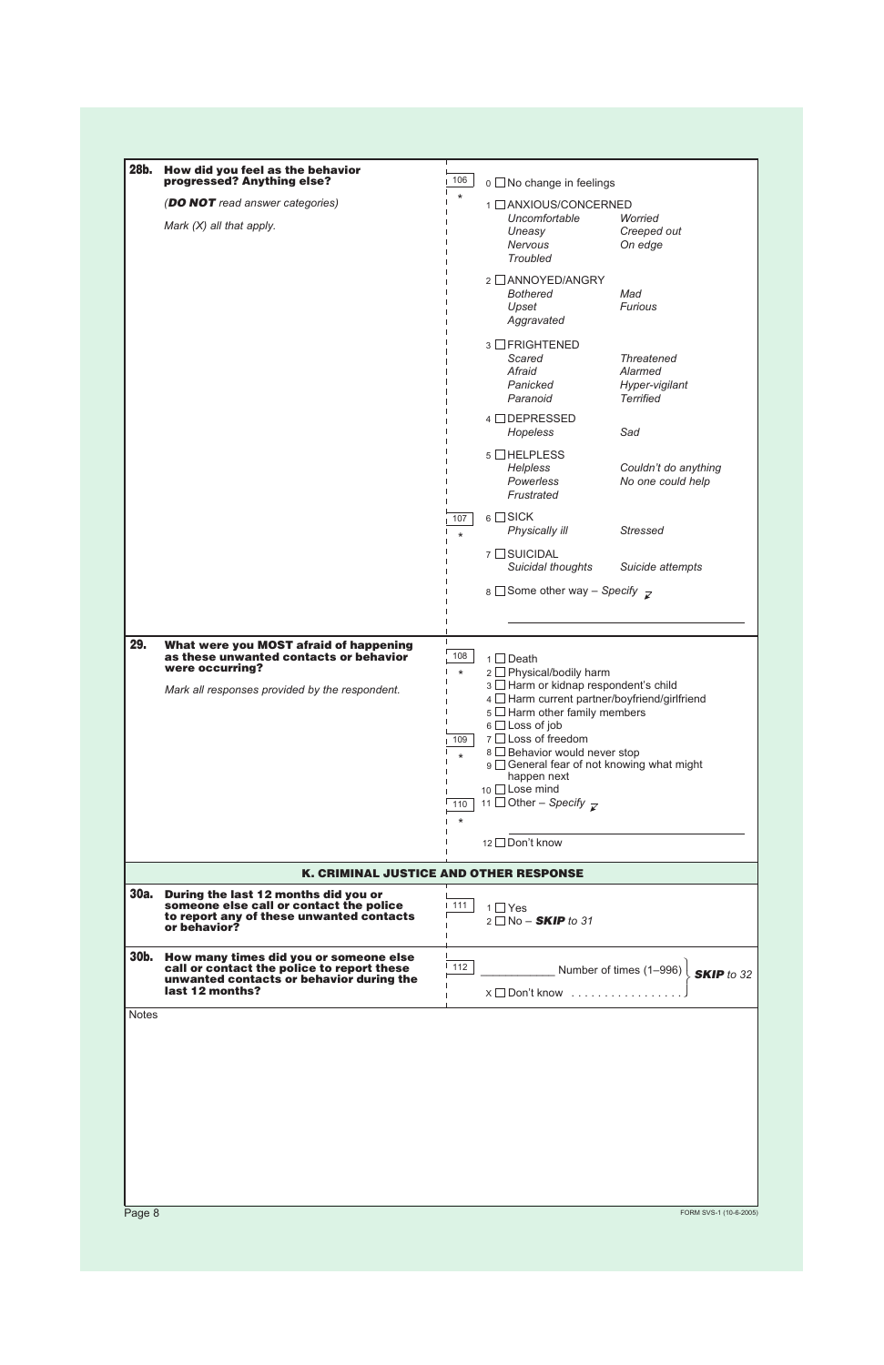| 28b.         | How did you feel as the behavior<br>progressed? Anything else?                                                                                        | 106                                                  | $0 \square$ No change in feelings                                                                                                                                                                                                                                                                                                                                                 |
|--------------|-------------------------------------------------------------------------------------------------------------------------------------------------------|------------------------------------------------------|-----------------------------------------------------------------------------------------------------------------------------------------------------------------------------------------------------------------------------------------------------------------------------------------------------------------------------------------------------------------------------------|
|              | (DO NOT read answer categories)                                                                                                                       | $\star$                                              | 1 □ ANXIOUS/CONCERNED<br>Uncomfortable<br>Worried                                                                                                                                                                                                                                                                                                                                 |
|              | Mark $(X)$ all that apply.                                                                                                                            |                                                      | Uneasy<br>Creeped out<br>Nervous<br>On edge<br>Troubled                                                                                                                                                                                                                                                                                                                           |
|              |                                                                                                                                                       |                                                      | 2 □ ANNOYED/ANGRY<br><b>Bothered</b><br>Mad<br>Upset<br><b>Furious</b><br>Aggravated                                                                                                                                                                                                                                                                                              |
|              |                                                                                                                                                       |                                                      | $3$ $\Box$ FRIGHTENED<br>Scared<br><b>Threatened</b><br>Afraid<br>Alarmed<br>Panicked<br>Hyper-vigilant<br><b>Terrified</b><br>Paranoid                                                                                                                                                                                                                                           |
|              |                                                                                                                                                       |                                                      | 4 □ DEPRESSED<br>Sad<br>Hopeless                                                                                                                                                                                                                                                                                                                                                  |
|              |                                                                                                                                                       |                                                      | $5$ $\Box$ HELPLESS<br><b>Helpless</b><br>Couldn't do anything<br>Powerless<br>No one could help<br>Frustrated                                                                                                                                                                                                                                                                    |
|              |                                                                                                                                                       | 107<br>$\star$                                       | $6 \square$ SICK<br>Physically ill<br><b>Stressed</b>                                                                                                                                                                                                                                                                                                                             |
|              |                                                                                                                                                       |                                                      | 7 □ SUICIDAL<br>Suicidal thoughts<br>Suicide attempts                                                                                                                                                                                                                                                                                                                             |
|              |                                                                                                                                                       |                                                      | 8 Some other way – Specify $\overline{\mathcal{L}}$                                                                                                                                                                                                                                                                                                                               |
| 29.          | What were you MOST afraid of happening<br>as these unwanted contacts or behavior<br>were occurring?<br>Mark all responses provided by the respondent. | $108$<br>$\star$<br>109<br>$\star$<br>110<br>$\star$ | $1 \Box$ Death<br>2 □ Physical/bodily harm<br>3 □ Harm or kidnap respondent's child<br>$4 \Box$ Harm current partner/boyfriend/girlfriend<br>$5 \Box$ Harm other family members<br>$6 \Box$ Loss of job<br>7 □ Loss of freedom<br>8 □ Behavior would never stop<br>9 General fear of not knowing what might<br>happen next<br>10 □ Lose mind<br>11 Other – Specify $\overline{z}$ |
|              |                                                                                                                                                       |                                                      | 12 □ Don't know                                                                                                                                                                                                                                                                                                                                                                   |
|              | <b>K. CRIMINAL JUSTICE AND OTHER RESPONSE</b>                                                                                                         |                                                      |                                                                                                                                                                                                                                                                                                                                                                                   |
| <b>30a.</b>  | During the last 12 months did you or<br>someone else call or contact the police<br>to report any of these unwanted contacts<br>or behavior?           | 111                                                  | $1 \square$ Yes<br>$2 \Box$ No - <b>SKIP</b> to 31                                                                                                                                                                                                                                                                                                                                |
| 30b.         | How many times did you or someone else<br>call or contact the police to report these<br>unwanted contacts or behavior during the<br>last 12 months?   | 112                                                  | Number of times (1-996)<br><b>SKIP</b> to 32<br>X □ Don't know                                                                                                                                                                                                                                                                                                                    |
| <b>Notes</b> |                                                                                                                                                       |                                                      |                                                                                                                                                                                                                                                                                                                                                                                   |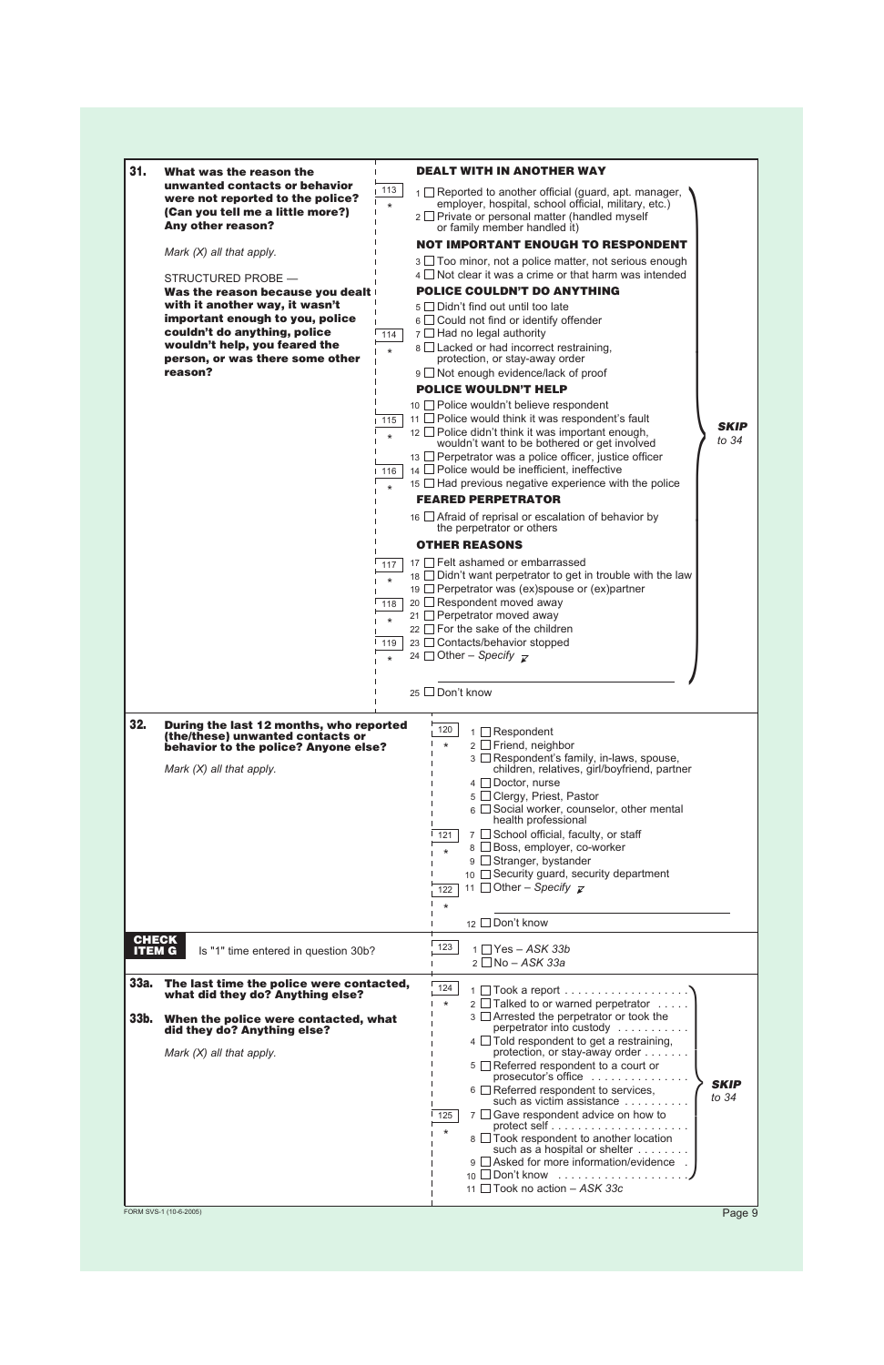| 31.                           | What was the reason the                                                                                                                                                                                                                    | <b>DEALT WITH IN ANOTHER WAY</b>                                                              |                                                                                                                                                                                                                                                                                                                                                                                                                                                                                                                                                                                                                                                                                                                                                                                                                                                                                                                                                                                                                                                                                                                                                                                                                                                                                                                                                                                              |
|-------------------------------|--------------------------------------------------------------------------------------------------------------------------------------------------------------------------------------------------------------------------------------------|-----------------------------------------------------------------------------------------------|----------------------------------------------------------------------------------------------------------------------------------------------------------------------------------------------------------------------------------------------------------------------------------------------------------------------------------------------------------------------------------------------------------------------------------------------------------------------------------------------------------------------------------------------------------------------------------------------------------------------------------------------------------------------------------------------------------------------------------------------------------------------------------------------------------------------------------------------------------------------------------------------------------------------------------------------------------------------------------------------------------------------------------------------------------------------------------------------------------------------------------------------------------------------------------------------------------------------------------------------------------------------------------------------------------------------------------------------------------------------------------------------|
|                               | unwanted contacts or behavior<br>were not reported to the police?<br>(Can you tell me a little more?)<br><b>Any other reason?</b>                                                                                                          | 113<br>$\star$                                                                                | $1 \square$ Reported to another official (guard, apt. manager,<br>employer, hospital, school official, military, etc.)<br>$2 \Box$ Private or personal matter (handled myself<br>or family member handled it)                                                                                                                                                                                                                                                                                                                                                                                                                                                                                                                                                                                                                                                                                                                                                                                                                                                                                                                                                                                                                                                                                                                                                                                |
|                               | Mark $(X)$ all that apply.                                                                                                                                                                                                                 |                                                                                               | <b>NOT IMPORTANT ENOUGH TO RESPONDENT</b>                                                                                                                                                                                                                                                                                                                                                                                                                                                                                                                                                                                                                                                                                                                                                                                                                                                                                                                                                                                                                                                                                                                                                                                                                                                                                                                                                    |
|                               | STRUCTURED PROBE -<br>Was the reason because you dealt<br>with it another way, it wasn't<br>important enough to you, police<br>couldn't do anything, police<br>wouldn't help, you feared the<br>person, or was there some other<br>reason? | 114<br>$\star$<br>115<br>$\star$<br>116<br>$\star$<br>117<br>$\star$<br>118<br>$\star$<br>119 | 3 □ Too minor, not a police matter, not serious enough<br>$4 \square$ Not clear it was a crime or that harm was intended<br><b>POLICE COULDN'T DO ANYTHING</b><br>5 Didn't find out until too late<br>$6 \square$ Could not find or identify offender<br>$7 \square$ Had no legal authority<br>8 □ Lacked or had incorrect restraining,<br>protection, or stay-away order<br>9 □ Not enough evidence/lack of proof<br><b>POLICE WOULDN'T HELP</b><br>10 □ Police wouldn't believe respondent<br>11 $\Box$ Police would think it was respondent's fault<br><b>SKIP</b><br>12 $\Box$ Police didn't think it was important enough,<br>to 34<br>wouldn't want to be bothered or get involved<br>13 $\Box$ Perpetrator was a police officer, justice officer<br>$14$ $\Box$ Police would be inefficient, ineffective<br>$15$ $\Box$ Had previous negative experience with the police<br><b>FEARED PERPETRATOR</b><br>$16$ $\Box$ Afraid of reprisal or escalation of behavior by<br>the perpetrator or others<br><b>OTHER REASONS</b><br>17 □ Felt ashamed or embarrassed<br>18 $\Box$ Didn't want perpetrator to get in trouble with the law<br>19 Perpetrator was (ex)spouse or (ex)partner<br>20 $\Box$ Respondent moved away<br>21 Perpetrator moved away<br>$22 \Box$ For the sake of the children<br>23 □ Contacts/behavior stopped<br>24 Other – Specify $\overline{z}$<br>25 □ Don't know |
|                               |                                                                                                                                                                                                                                            |                                                                                               |                                                                                                                                                                                                                                                                                                                                                                                                                                                                                                                                                                                                                                                                                                                                                                                                                                                                                                                                                                                                                                                                                                                                                                                                                                                                                                                                                                                              |
| 32.                           | During the last 12 months, who reported<br>(the/these) unwanted contacts or<br>behavior to the police? Anyone else?<br>Mark $(X)$ all that apply.                                                                                          |                                                                                               | 120<br>$1 \square$ Respondent<br>$2 \Box$ Friend, neighbor<br>$\star$<br>3 Respondent's family, in-laws, spouse,<br>children, relatives, girl/boyfriend, partner<br>4 □ Doctor, nurse<br>5 □ Clergy, Priest, Pastor<br>$_6$ $\Box$ Social worker, counselor, other mental<br>health professional<br>7 School official, faculty, or staff<br>121<br>8 □ Boss, employer, co-worker<br>$\star$<br>$9 \square$ Stranger, bystander<br>10 Security guard, security department<br>11 Other – Specify $\overline{\mathscr{L}}$<br>122<br>$\star$<br>$\Box$ Don't know<br>12 <sup>1</sup>                                                                                                                                                                                                                                                                                                                                                                                                                                                                                                                                                                                                                                                                                                                                                                                                            |
| <b>CHECK</b><br><b>ITEM G</b> | Is "1" time entered in question 30b?                                                                                                                                                                                                       |                                                                                               | 123<br>$1 \square$ Yes - ASK 33b                                                                                                                                                                                                                                                                                                                                                                                                                                                                                                                                                                                                                                                                                                                                                                                                                                                                                                                                                                                                                                                                                                                                                                                                                                                                                                                                                             |
| 33a.                          | The last time the police were contacted,                                                                                                                                                                                                   |                                                                                               | $2 \square$ No - ASK 33a<br>124<br>$1 \square$ Took a report $\ldots \ldots \ldots \ldots \ldots$                                                                                                                                                                                                                                                                                                                                                                                                                                                                                                                                                                                                                                                                                                                                                                                                                                                                                                                                                                                                                                                                                                                                                                                                                                                                                            |
| 33b.                          | what did they do? Anything else?<br>When the police were contacted, what                                                                                                                                                                   |                                                                                               | $2 \Box$ Talked to or warned perpetrator $\dots$<br>$\star$<br>$3$ $\Box$ Arrested the perpetrator or took the                                                                                                                                                                                                                                                                                                                                                                                                                                                                                                                                                                                                                                                                                                                                                                                                                                                                                                                                                                                                                                                                                                                                                                                                                                                                               |
|                               | did they do? Anything else?<br>Mark $(X)$ all that apply.                                                                                                                                                                                  |                                                                                               | perpetrator into custody<br>$4 \Box$ Told respondent to get a restraining,<br>protection, or stay-away order<br>5 Referred respondent to a court or<br>prosecutor's office<br><b>SKIP</b><br>$6 \square$ Referred respondent to services,<br>to 34<br>such as victim assistance<br>$7 \square$ Gave respondent advice on how to<br>125<br>$\star$<br>$8 \Box$ Took respondent to another location<br>such as a hospital or shelter<br>$9$ $\Box$ Asked for more information/evidence .<br>$10 \Box$ Don't know $\dots \dots \dots$<br>11 $\Box$ Took no action – ASK 33c                                                                                                                                                                                                                                                                                                                                                                                                                                                                                                                                                                                                                                                                                                                                                                                                                     |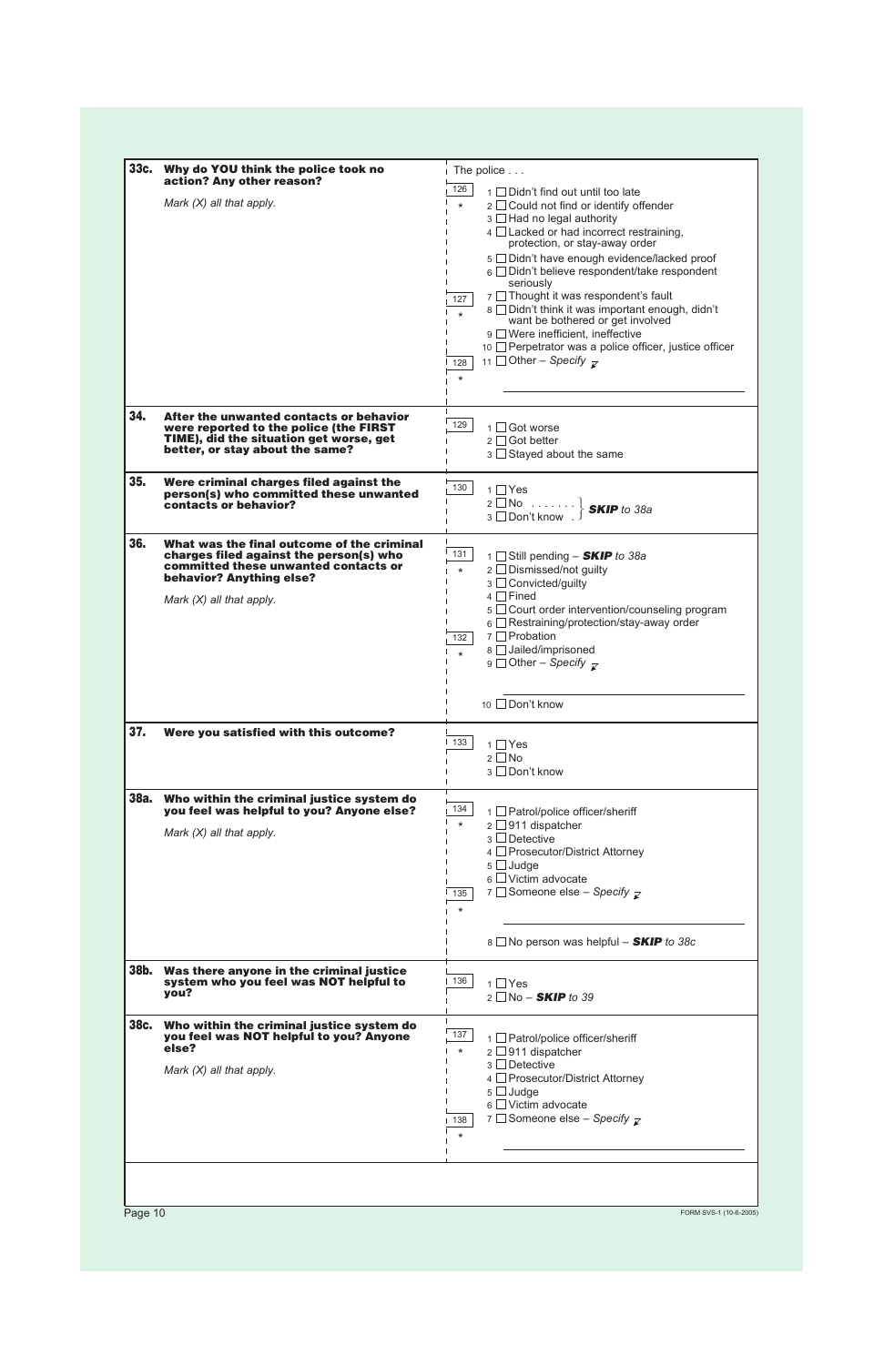| 33c. | Why do YOU think the police took no<br>action? Any other reason?                                                                                                                               | The police                                                                                                                                                                                                                                                                                                                                                                                                                                                                                                                                                                                                                                                           |
|------|------------------------------------------------------------------------------------------------------------------------------------------------------------------------------------------------|----------------------------------------------------------------------------------------------------------------------------------------------------------------------------------------------------------------------------------------------------------------------------------------------------------------------------------------------------------------------------------------------------------------------------------------------------------------------------------------------------------------------------------------------------------------------------------------------------------------------------------------------------------------------|
|      | Mark $(X)$ all that apply.                                                                                                                                                                     | 126<br>$1 \square$ Didn't find out until too late<br>$\star$<br>$2 \square$ Could not find or identify offender<br>3 □ Had no legal authority<br>$4 \square$ Lacked or had incorrect restraining,<br>protection, or stay-away order<br>5 Didn't have enough evidence/lacked proof<br>$6 \Box$ Didn't believe respondent/take respondent<br>seriously<br>7 Thought it was respondent's fault<br>127<br>$8 \Box$ Didn't think it was important enough, didn't<br>$\star$<br>want be bothered or get involved<br>9 □ Were inefficient, ineffective<br>10 $\Box$ Perpetrator was a police officer, justice officer<br>11 Other – Specify $\overline{z}$<br>128<br>$\ast$ |
| 34.  | After the unwanted contacts or behavior<br>were reported to the police (the FIRST<br>TIME), did the situation get worse, get<br>better, or stay about the same?                                | 129<br>1 □ Got worse<br>$2 \square$ Got better<br>$3 \square$ Stayed about the same                                                                                                                                                                                                                                                                                                                                                                                                                                                                                                                                                                                  |
| 35.  | Were criminal charges filed against the<br>person(s) who committed these unwanted<br>contacts or behavior?                                                                                     | 130<br>$1 \square Y$ es<br>2 $\Box$ No $\ldots \ldots$ $\}$ <b>SKIP</b> to 38a                                                                                                                                                                                                                                                                                                                                                                                                                                                                                                                                                                                       |
| 36.  | What was the final outcome of the criminal<br>charges filed against the person(s) who<br>committed these unwanted contacts or<br><b>behavior? Anything else?</b><br>Mark $(X)$ all that apply. | 131<br>1 Still pending - <b>SKIP</b> to 38a<br>2 □ Dismissed/not guilty<br>$\star$<br>3 □ Convicted/guilty<br>$4 \Box$ Fined<br>5 Court order intervention/counseling program<br>$6 \square$ Restraining/protection/stay-away order<br>7 OProbation<br>132<br>8 Jailed/imprisoned<br>$\star$<br>9 Other – Specify $\overline{z}$<br>10 □ Don't know                                                                                                                                                                                                                                                                                                                  |
| 37.  | Were you satisfied with this outcome?                                                                                                                                                          | 133<br>$1 \square$ Yes<br>$2 \Box$ No<br>3 □ Don't know                                                                                                                                                                                                                                                                                                                                                                                                                                                                                                                                                                                                              |
| 38a. | Who within the criminal justice system do<br>you feel was helpful to you? Anyone else?<br>Mark $(X)$ all that apply.                                                                           | 134<br>1 □ Patrol/police officer/sheriff<br>$\star$<br>$2 \square 911$ dispatcher<br>$3 \Box$ Detective<br>4 Prosecutor/District Attorney<br>$5 \Box$ Judge<br>$6\Box$ Victim advocate<br>7 Someone else – Specify $\overline{\mathcal{L}}$<br>135<br>$\ast$<br>$8 \square$ No person was helpful – <b>SKIP</b> to 38c                                                                                                                                                                                                                                                                                                                                               |
| 38b. | Was there anyone in the criminal justice<br>system who you feel was NOT helpful to<br>you?                                                                                                     | 136<br>1 □ Yes<br>$2 \Box$ No – <b>SKIP</b> to 39                                                                                                                                                                                                                                                                                                                                                                                                                                                                                                                                                                                                                    |
| 38c. | Who within the criminal justice system do<br>you feel was NOT helpful to you? Anyone<br>else?<br>Mark $(X)$ all that apply.                                                                    | 137<br>1 □ Patrol/police officer/sheriff<br>$2 \square 911$ dispatcher<br>$\star$<br>$3 \Box$ Detective<br>4 Prosecutor/District Attorney<br>$5 \Box$ Judge<br>$6 \Box$ Victim advocate<br>7 Someone else – Specify $\overline{\mathcal{L}}$<br>138<br>$\star$                                                                                                                                                                                                                                                                                                                                                                                                       |